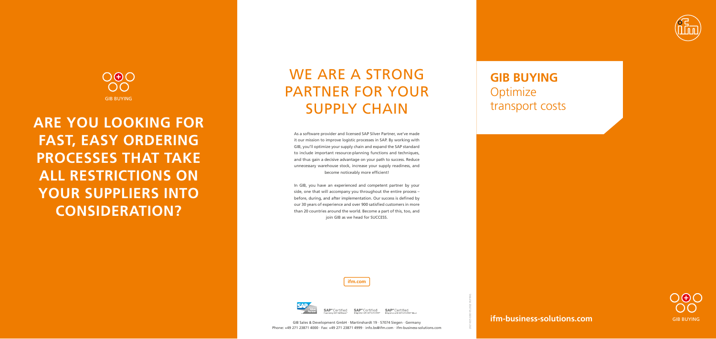**ifm.com**



2021-825 GBD 05.2022 BUYING

As a software provider and licensed SAP Silver Partner, we've made it our mission to improve logistic processes in SAP. By working with GIB, you'll optimize your supply chain and expand the SAP standard to include important resource-planning functions and techniques, and thus gain a decisive advantage on your path to success. Reduce unnecessary warehouse stock, increase your supply readiness, and become noticeably more efficient!

OOO  $\bigcap$ GIB BUYING

> In GIB, you have an experienced and competent partner by your side, one that will accompany you throughout the entire process – before, during, and after implementation. Our success is defined by our 30 years of experience and over 900 satisfied customers in more than 20 countries around the world. Become a part of this, too, and join GIB as we head for SUCCESS.

# WE ARE A STRONG PARTNER FOR YOUR SUPPLY CHAIN

**ARE YOU LOOKING FOR FAST, EASY ORDERING PROCESSES THAT TAKE ALL RESTRICTIONS ON YOUR SUPPLIERS INTO CONSIDERATION?** 

**GIB BUYING Optimize** transport costs

### **ifm-business-solutions.com**

 $\bigcirc \Theta$ 



SAP<sup>®</sup>Certified SAP<sup>®</sup>Certified SAP®Certified